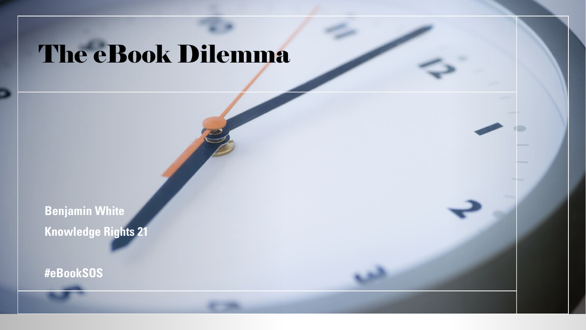#### The eBook Dilemma

**Benjamin White Knowledge Rights 21**

**#eBookSOS**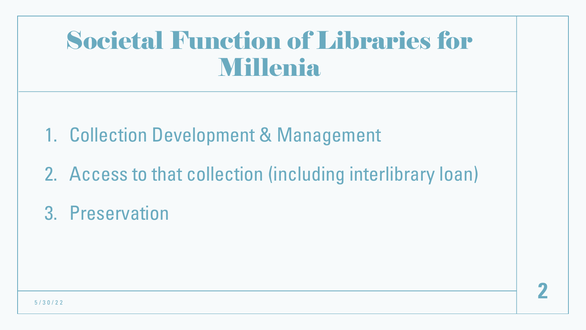#### Societal Function of Libraries for **Millenia**

- 1. Collection Development & Management
- 2. Access to that collection (including interlibrary loan)
- 3. Preservation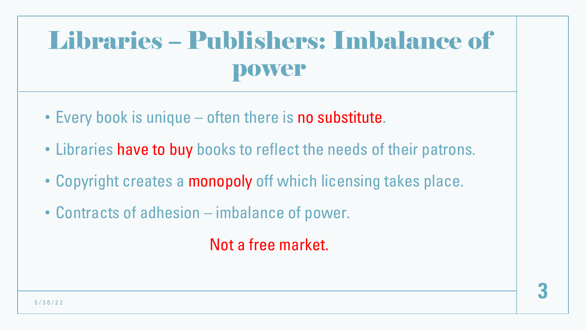## Libraries – Publishers: Imbalance of power

- Every book is unique often there is no substitute.
- Libraries have to buy books to reflect the needs of their patrons.
- Copyright creates a monopoly off which licensing takes place.
- Contracts of adhesion imbalance of power.

Not a free market.

**3**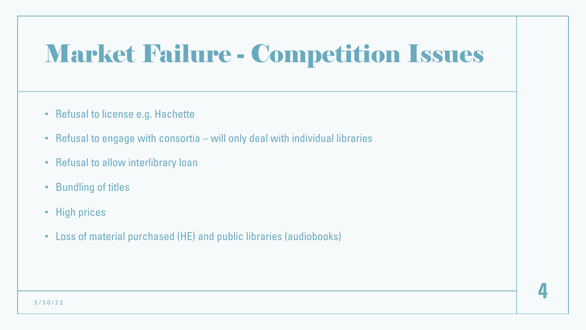## Market Failure - Competition Issues

- Refusal to license e.g. Hachette
- Refusal to engage with consortia will only deal with individual libraries
- Refusal to allow interlibrary loan
- Bundling of titles
- High prices
- Loss of material purchased (HE) and public libraries (audiobooks)

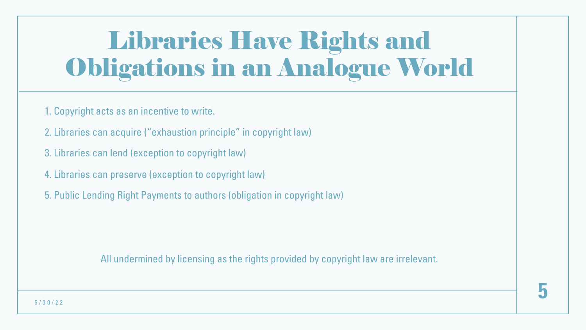# Libraries Have Rights and Obligations in an Analogue World

- 1. Copyright acts as an incentive to write.
- 2. Libraries can acquire ("exhaustion principle" in copyright law)
- 3. Libraries can lend (exception to copyright law)
- 4. Libraries can preserve (exception to copyright law)
- 5. Public Lending Right Payments to authors (obligation in copyright law)

All undermined by licensing as the rights provided by copyright law are irrelevant.



5/30/22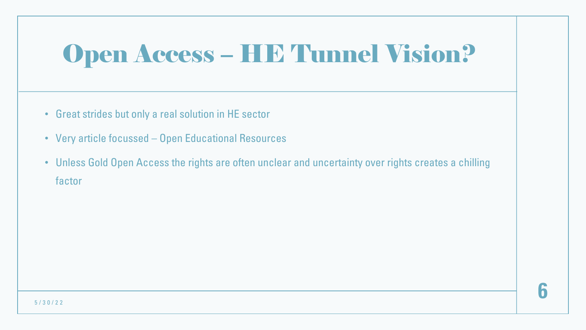# Open Access – HE Tunnel Vision?

- Great strides but only a real solution in HE sector
- Very article focussed Open Educational Resources
- Unless Gold Open Access the rights are often unclear and uncertainty over rights creates a chilling factor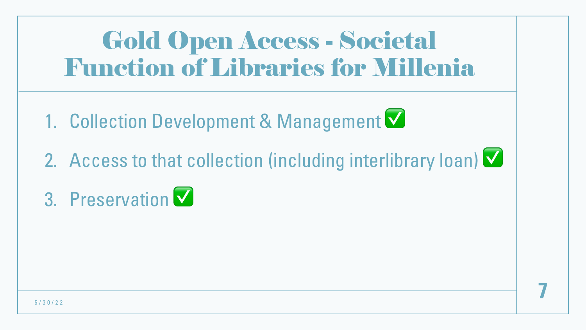#### Gold Open Access - Societal Function of Libraries for Millenia

- 1. Collection Development & Management  $\blacksquare$
- 2. Access to that collection (including interlibrary loan)  $\blacktriangledown$

**7**

3. Preservation ✅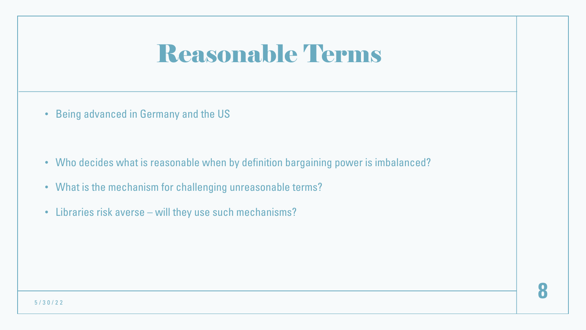#### Reasonable Terms

• Being advanced in Germany and the US

- Who decides what is reasonable when by definition bargaining power is imbalanced?
- What is the mechanism for challenging unreasonable terms?
- Libraries risk averse will they use such mechanisms?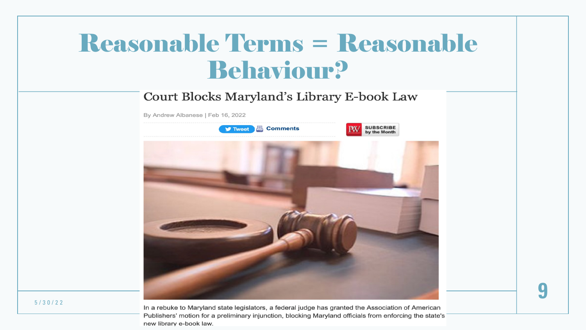#### Reasonable Terms = Reasonable Behaviour?

#### Court Blocks Maryland's Library E-book Law

By Andrew Albanese | Feb 16, 2022



5/30/22

In a rebuke to Maryland state legislators, a federal judge has granted the Association of American Publishers' motion for a preliminary injunction, blocking Maryland officials from enforcing the state's new library e-book law.

**9**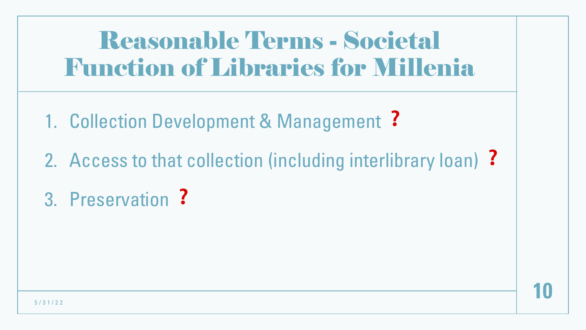#### Reasonable Terms - Societal Function of Libraries for Millenia

- 1. Collection Development & Management ?
- 2. Access to that collection (including interlibrary loan) ?
- 3. Preservation ?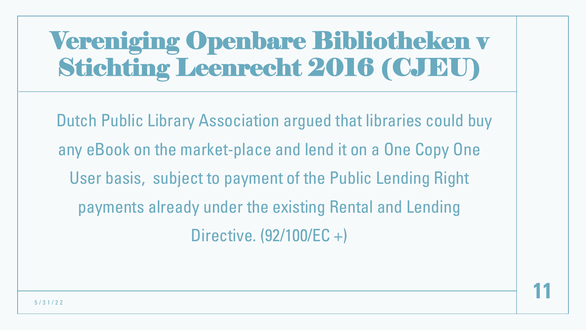Dutch Public Library Association argued that libraries could buy any eBook on the market-place and lend it on a One Copy One User basis, subject to payment of the Public Lending Right payments already under the existing Rental and Lending Directive. (92/100/EC +)

**11**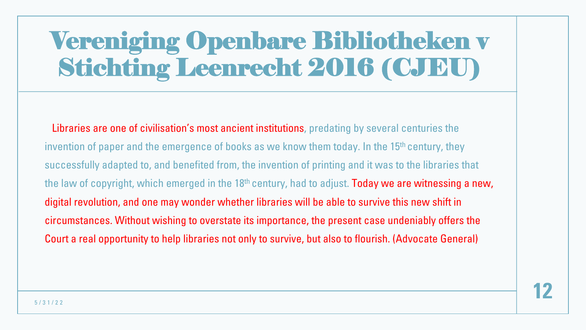Libraries are one of civilisation's most ancient institutions, predating by several centuries the invention of paper and the emergence of books as we know them today. In the 15<sup>th</sup> century, they successfully adapted to, and benefited from, the invention of printing and it was to the libraries that the law of copyright, which emerged in the 18<sup>th</sup> century, had to adjust. **Today we are witnessing a new,** digital revolution, and one may wonder whether libraries will be able to survive this new shift in circumstances. Without wishing to overstate its importance, the present case undeniably offers the Court a real opportunity to help libraries not only to survive, but also to flourish. (Advocate General)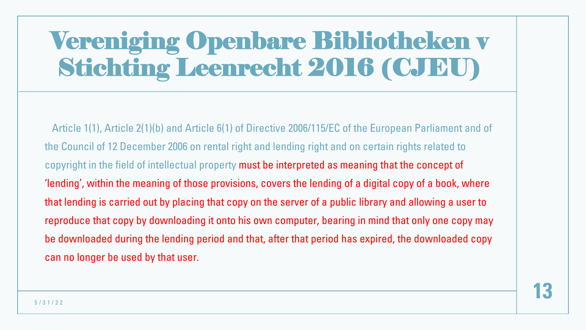Article 1(1), Article 2(1)(b) and Article 6(1) of Directive 2006/115/EC of the European Parliament and of the Council of 12 December 2006 on rental right and lending right and on certain rights related to copyright in the field of intellectual property must be interpreted as meaning that the concept of 'lending', within the meaning of those provisions, covers the lending of a digital copy of a book, where that lending is carried out by placing that copy on the server of a public library and allowing a user to reproduce that copy by downloading it onto his own computer, bearing in mind that only one copy may be downloaded during the lending period and that, after that period has expired, the downloaded copy can no longer be used by that user.

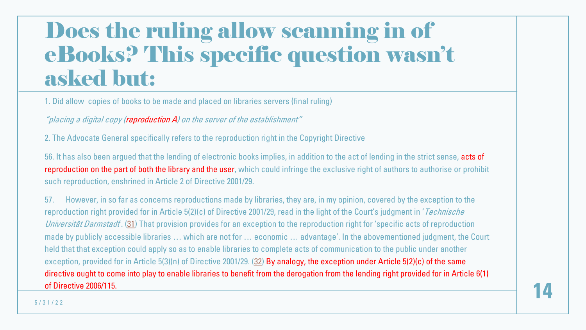#### Does the ruling allow scanning eBooks? This specific question asked b[u](http://curia.europa.eu/juris/document/document.jsf?text=&docid=180332&pageIndex=0&doclang=EN&mode=lst&dir=&occ=first&part=1&cid=4992753)t:

1. Did allow copies of books to be made and placed on librari[es](http://curia.europa.eu/juris/document/document.jsf?text=&docid=180332&pageIndex=0&doclang=EN&mode=lst&dir=&occ=first&part=1&cid=4992753) servers (final ruling)

"placing a digital copy (reproduction A) on the server of the establishment"

2. The Advocate General specifically refers to the reproduction right in the Copyright Directive

56. It has also been argued that the lending of electronic books implies, in addition to the act of le reproduction on the part of both the library and the user, which could infringe the exclusive right such reproduction, enshrined in Article 2 of Directive 2001/29.

57. However, in so far as concerns reproductions made by libraries, they are, in my opinion, co reproduction right provided for in Article  $5(2)(c)$  of Directive 2001/29, read in the light of the Court Universität Darmstadt. (31) That provision provides for an exception to the reproduction right for made by publicly accessible libraries ... which are not for ... economic ... advantage'. In the abo held that that exception could apply so as to enable libraries to complete acts of communication exception, provided for in Article 5(3)(n) of Directive 2001/29. (32) By analogy, the exception unde directive ought to come into play to enable libraries to benefit from the derogation from the lendi of Directive 2006/115.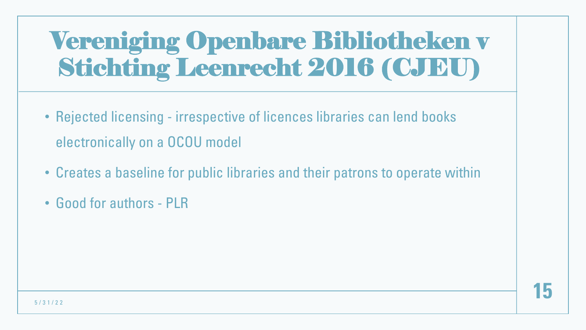- Rejected licensing irrespective of licences libraries can lend books electronically on a OCOU model
- Creates a baseline for public libraries and their patrons to operate within
- Good for authors PLR

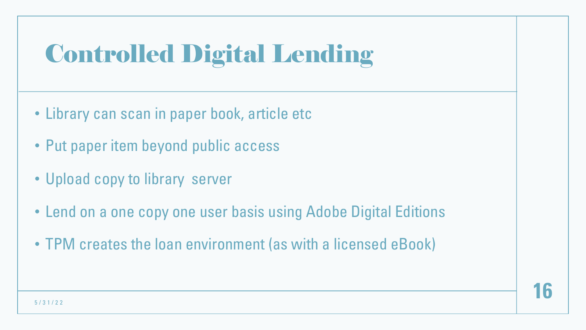# Controlled Digital Lending

- Library can scan in paper book, article etc
- Put paper item beyond public access
- Upload copy to library server
- Lend on a one copy one user basis using Adobe Digital Editions
- TPM creates the loan environment (as with a licensed eBook)

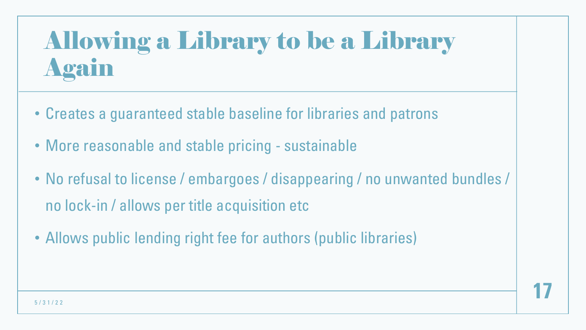# Allowing a Library to be a Library Again

- Creates a guaranteed stable baseline for libraries and patrons
- More reasonable and stable pricing sustainable
- No refusal to license / embargoes / disappearing / no unwanted bundles / no lock-in / allows per title acquisition etc
- Allows public lending right fee for authors (public libraries)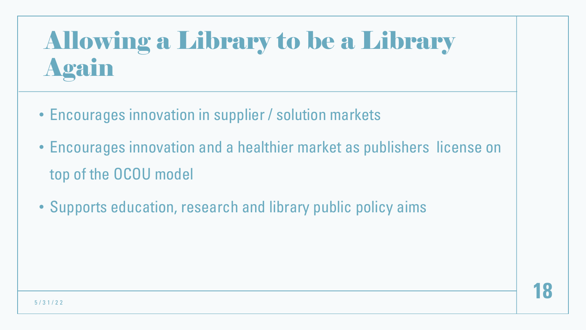# Allowing a Library to be a Library Again

- Encourages innovation in supplier / solution markets
- Encourages innovation and a healthier market as publishers license on top of the OCOU model
- Supports education, research and library public policy aims

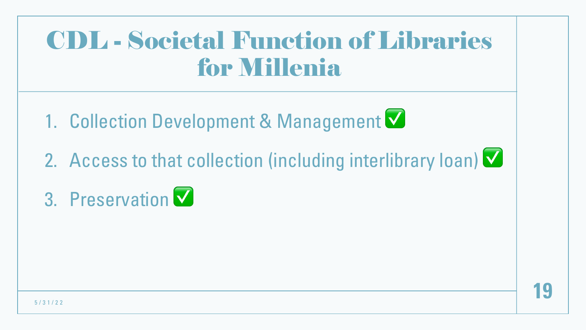#### CDL - Societal Function of Libraries for Millenia

- 1. Collection Development & Management  $\blacksquare$
- 2. Access to that collection (including interlibrary loan)  $\vee$
- 3. Preservation ✅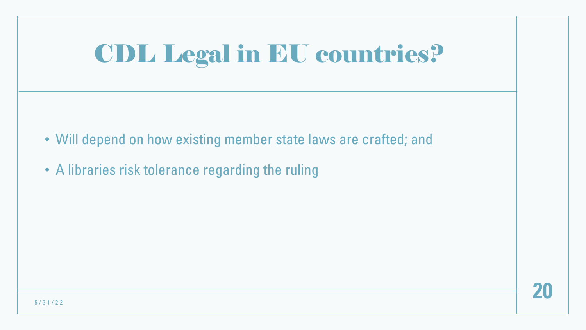# CDL Legal in EU countries?

- Will depend on how existing member state laws are crafted; and
- A libraries risk tolerance regarding the ruling